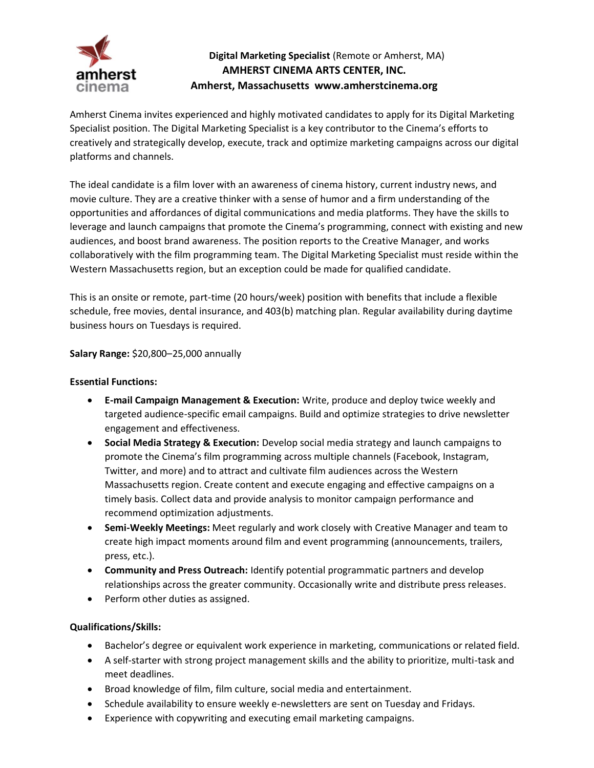

## **Digital Marketing Specialist** (Remote or Amherst, MA) **AMHERST CINEMA ARTS CENTER, INC. Amherst, Massachusetts www.amherstcinema.org**

Amherst Cinema invites experienced and highly motivated candidates to apply for its Digital Marketing Specialist position. The Digital Marketing Specialist is a key contributor to the Cinema's efforts to creatively and strategically develop, execute, track and optimize marketing campaigns across our digital platforms and channels.

The ideal candidate is a film lover with an awareness of cinema history, current industry news, and movie culture. They are a creative thinker with a sense of humor and a firm understanding of the opportunities and affordances of digital communications and media platforms. They have the skills to leverage and launch campaigns that promote the Cinema's programming, connect with existing and new audiences, and boost brand awareness. The position reports to the Creative Manager, and works collaboratively with the film programming team. The Digital Marketing Specialist must reside within the Western Massachusetts region, but an exception could be made for qualified candidate.

This is an onsite or remote, part-time (20 hours/week) position with benefits that include a flexible schedule, free movies, dental insurance, and 403(b) matching plan. Regular availability during daytime business hours on Tuesdays is required.

**Salary Range:** \$20,800–25,000 annually

## **Essential Functions:**

- **E-mail Campaign Management & Execution:** Write, produce and deploy twice weekly and targeted audience-specific email campaigns. Build and optimize strategies to drive newsletter engagement and effectiveness.
- **Social Media Strategy & Execution:** Develop social media strategy and launch campaigns to promote the Cinema's film programming across multiple channels (Facebook, Instagram, Twitter, and more) and to attract and cultivate film audiences across the Western Massachusetts region. Create content and execute engaging and effective campaigns on a timely basis. Collect data and provide analysis to monitor campaign performance and recommend optimization adjustments.
- **Semi-Weekly Meetings:** Meet regularly and work closely with Creative Manager and team to create high impact moments around film and event programming (announcements, trailers, press, etc.).
- **Community and Press Outreach:** Identify potential programmatic partners and develop relationships across the greater community. Occasionally write and distribute press releases.
- Perform other duties as assigned.

## **Qualifications/Skills:**

- Bachelor's degree or equivalent work experience in marketing, communications or related field.
- A self-starter with strong project management skills and the ability to prioritize, multi-task and meet deadlines.
- Broad knowledge of film, film culture, social media and entertainment.
- Schedule availability to ensure weekly e-newsletters are sent on Tuesday and Fridays.
- Experience with copywriting and executing email marketing campaigns.